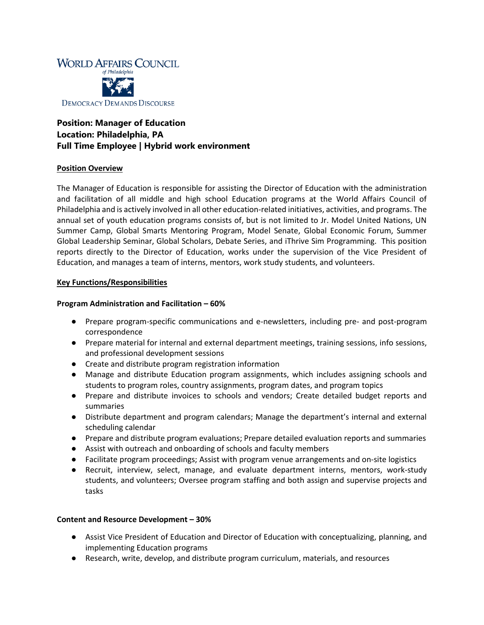

# **Position: Manager of Education Location: Philadelphia, PA Full Time Employee | Hybrid work environment**

#### **Position Overview**

The Manager of Education is responsible for assisting the Director of Education with the administration and facilitation of all middle and high school Education programs at the World Affairs Council of Philadelphia and is actively involved in all other education-related initiatives, activities, and programs. The annual set of youth education programs consists of, but is not limited to Jr. Model United Nations, UN Summer Camp, Global Smarts Mentoring Program, Model Senate, Global Economic Forum, Summer Global Leadership Seminar, Global Scholars, Debate Series, and iThrive Sim Programming. This position reports directly to the Director of Education, works under the supervision of the Vice President of Education, and manages a team of interns, mentors, work study students, and volunteers.

## **Key Functions/Responsibilities**

## **Program Administration and Facilitation – 60%**

- Prepare program-specific communications and e-newsletters, including pre- and post-program correspondence
- Prepare material for internal and external department meetings, training sessions, info sessions, and professional development sessions
- Create and distribute program registration information
- Manage and distribute Education program assignments, which includes assigning schools and students to program roles, country assignments, program dates, and program topics
- Prepare and distribute invoices to schools and vendors; Create detailed budget reports and summaries
- Distribute department and program calendars; Manage the department's internal and external scheduling calendar
- Prepare and distribute program evaluations; Prepare detailed evaluation reports and summaries
- Assist with outreach and onboarding of schools and faculty members
- Facilitate program proceedings; Assist with program venue arrangements and on-site logistics
- Recruit, interview, select, manage, and evaluate department interns, mentors, work-study students, and volunteers; Oversee program staffing and both assign and supervise projects and tasks

#### **Content and Resource Development – 30%**

- Assist Vice President of Education and Director of Education with conceptualizing, planning, and implementing Education programs
- Research, write, develop, and distribute program curriculum, materials, and resources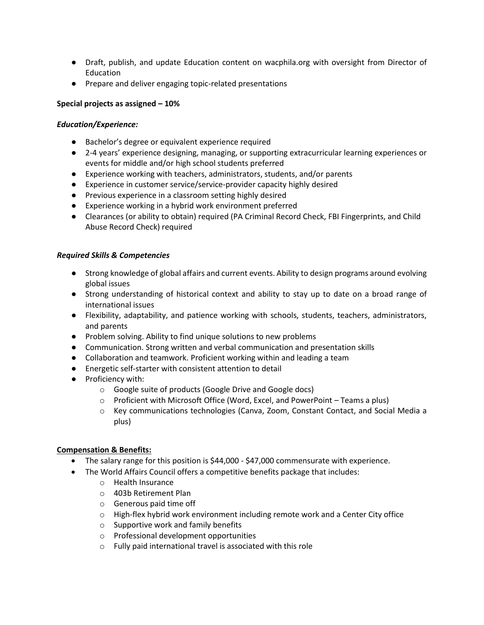- Draft, publish, and update Education content on wacphila.org with oversight from Director of Education
- Prepare and deliver engaging topic-related presentations

## **Special projects as assigned – 10%**

#### *Education/Experience:*

- Bachelor's degree or equivalent experience required
- 2-4 years' experience designing, managing, or supporting extracurricular learning experiences or events for middle and/or high school students preferred
- Experience working with teachers, administrators, students, and/or parents
- Experience in customer service/service-provider capacity highly desired
- Previous experience in a classroom setting highly desired
- Experience working in a hybrid work environment preferred
- Clearances (or ability to obtain) required (PA Criminal Record Check, FBI Fingerprints, and Child Abuse Record Check) required

#### *Required Skills & Competencies*

- Strong knowledge of global affairs and current events. Ability to design programs around evolving global issues
- Strong understanding of historical context and ability to stay up to date on a broad range of international issues
- Flexibility, adaptability, and patience working with schools, students, teachers, administrators, and parents
- Problem solving. Ability to find unique solutions to new problems
- Communication. Strong written and verbal communication and presentation skills
- Collaboration and teamwork. Proficient working within and leading a team
- Energetic self-starter with consistent attention to detail
- Proficiency with:
	- o Google suite of products (Google Drive and Google docs)
	- $\circ$  Proficient with Microsoft Office (Word, Excel, and PowerPoint Teams a plus)
	- o Key communications technologies (Canva, Zoom, Constant Contact, and Social Media a plus)

#### **Compensation & Benefits:**

- The salary range for this position is \$44,000 \$47,000 commensurate with experience.
- The World Affairs Council offers a competitive benefits package that includes:
	- o Health Insurance
	- o 403b Retirement Plan
	- o Generous paid time off
	- $\circ$  High-flex hybrid work environment including remote work and a Center City office
	- o Supportive work and family benefits
	- o Professional development opportunities
	- o Fully paid international travel is associated with this role